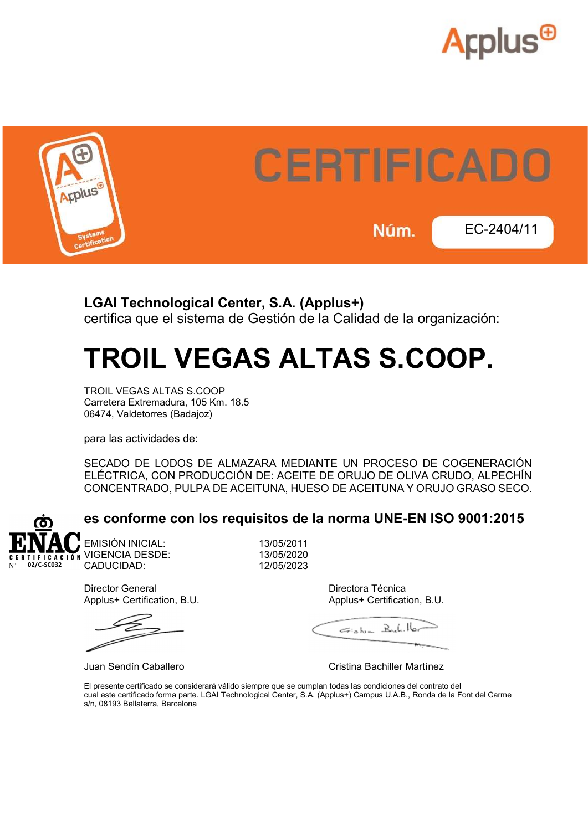



### LGAI Technological Center, S.A. (Applus+) certifica que el sistema de Gestión de la Calidad de la organización:

# TROIL VEGAS ALTAS S.COOP.

TROIL VEGAS ALTAS S.COOP Carretera Extremadura, 105 Km. 18.5 06474, Valdetorres (Badajoz)

para las actividades de:

SECADO DE LODOS DE ALMAZARA MEDIANTE UN PROCESO DE COGENERACIÓN ELÉCTRICA, CON PRODUCCIÓN DE: ACEITE DE ORUJO DE OLIVA CRUDO, ALPECHÍN CONCENTRADO, PULPA DE ACEITUNA, HUESO DE ACEITUNA Y ORUJO GRASO SECO.



### es conforme con los requisitos de la norma UNE-EN ISO 9001:2015

EMISIÓN INICIAL: 13/05/2011 VIGENCIA DESDE: 13/05/2020 CADUCIDAD: 12/05/2023

Director General **Directora Técnica** Applus+ Certification, B.U. **Applus+ Certification, B.U.** Applus+ Certification, B.U.

 $E_{\rm isbm}$   $B_{\rm ch}$ ,  $B_{\rm br}$ 

Juan Sendín Caballero Cristina Bachiller Martínez

El presente certificado se considerará válido siempre que se cumplan todas las condiciones del contrato del cual este certificado forma parte. LGAI Technological Center, S.A. (Applus+) Campus U.A.B., Ronda de la Font del Carme s/n, 08193 Bellaterra, Barcelona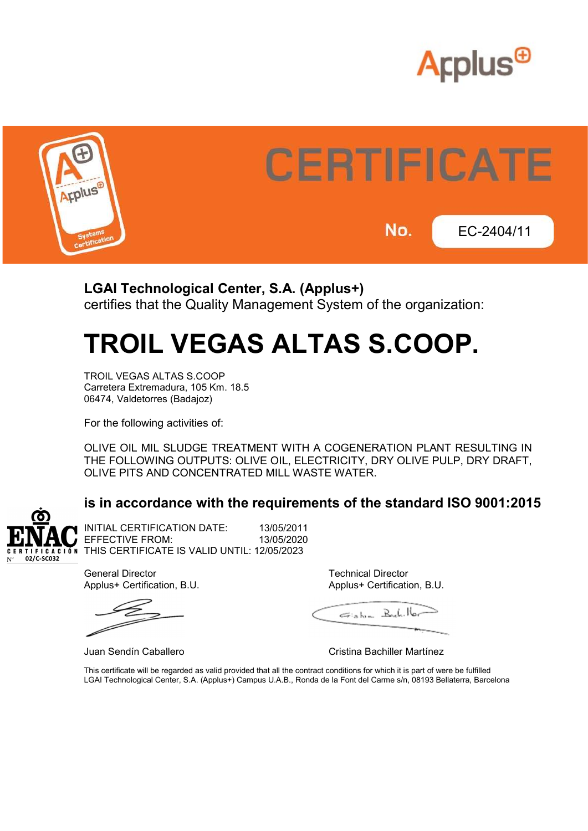



### LGAI Technological Center, S.A. (Applus+) certifies that the Quality Management System of the organization:

## TROIL VEGAS ALTAS S.COOP.

TROIL VEGAS ALTAS S.COOP Carretera Extremadura, 105 Km. 18.5 06474, Valdetorres (Badajoz)

For the following activities of:

OLIVE OIL MIL SLUDGE TREATMENT WITH A COGENERATION PLANT RESULTING IN THE FOLLOWING OUTPUTS: OLIVE OIL, ELECTRICITY, DRY OLIVE PULP, DRY DRAFT, OLIVE PITS AND CONCENTRATED MILL WASTE WATER.

## is in accordance with the requirements of the standard ISO 9001:2015



INITIAL CERTIFICATION DATE: 13/05/2011 EFFECTIVE FROM: 13/05/2020 THIS CERTIFICATE IS VALID UNTIL: 12/05/2023

General Director **Technical Director** Technical Director Applus+ Certification, B.U. Applus+ Certification, B.U.

Eish- Rubbler

Juan Sendín Caballero Cristina Bachiller Martínez

This certificate will be regarded as valid provided that all the contract conditions for which it is part of were be fulfilled LGAI Technological Center, S.A. (Applus+) Campus U.A.B., Ronda de la Font del Carme s/n, 08193 Bellaterra, Barcelona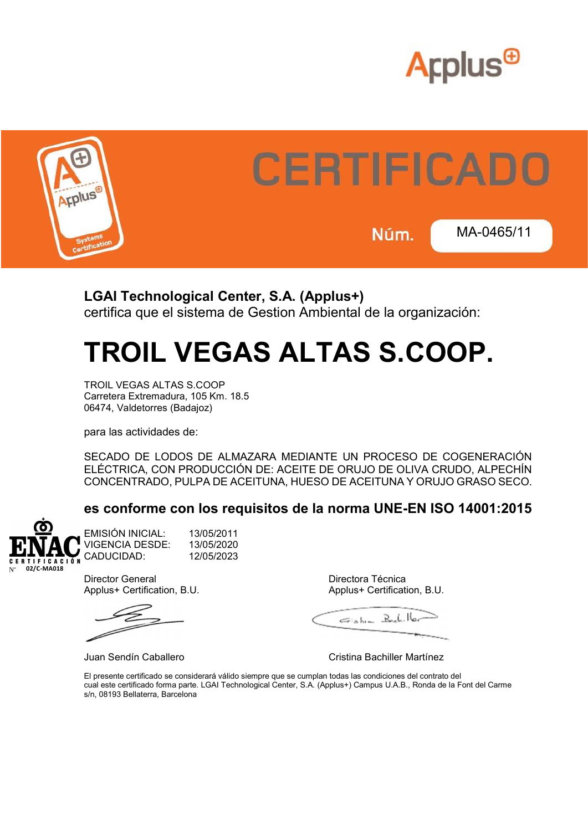



## LGAI Technological Center, S.A. (Applus+)

certifica que el sistema de Gestion Ambiental de la organización:

# TROIL VEGAS ALTAS S.COOP.

TROIL VEGAS ALTAS S.COOP Carretera Extremadura, 105 Km. 18.5 06474, Valdetorres (Badajoz)

para las actividades de:

SECADO DE LODOS DE ALMAZARA MEDIANTE UN PROCESO DE COGENERACIÓN ELÉCTRICA, CON PRODUCCIÓN DE: ACEITE DE ORUJO DE OLIVA CRUDO, ALPECHÍN CONCENTRADO, PULPA DE ACEITUNA, HUESO DE ACEITUNA Y ORUJO GRASO SECO.

### es conforme con los requisitos de la norma UNE-EN ISO 14001:2015



EMISIÓN INICIAL: 13/05/2011 VIGENCIA DESDE: 13/05/2020 CADUCIDAD: 12/05/2023

Director General Directora Técnica

Applus+ Certification, B.U. Applus+ Certification, B.U.

Eish- Bulillor

Juan Sendín Caballero Cristina Bachiller Martínez

El presente certificado se considerará válido siempre que se cumplan todas las condiciones del contrato del cual este certificado forma parte. LGAI Technological Center, S.A. (Applus+) Campus U.A.B., Ronda de la Font del Carme s/n, 08193 Bellaterra, Barcelona